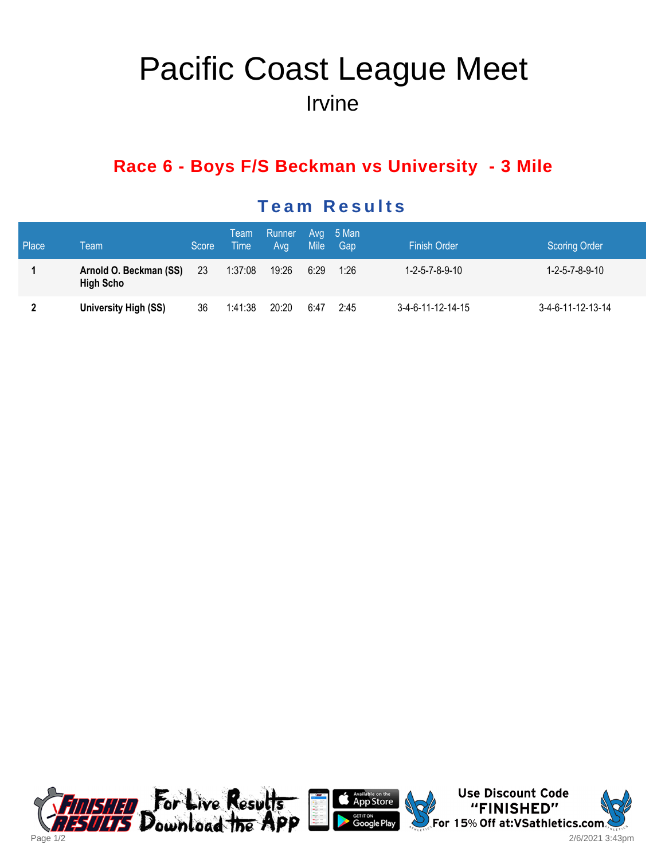# Pacific Coast League Meet Irvine

## **Race 6 - Boys F/S Beckman vs University - 3 Mile**

#### Place Team Score Team Time Runner Avg Avg Mile 5 Man Gap Finish Order Scoring Order 1 Arnold O. Beckman (SS) High Scho 23 1:37:08 19:26 6:29 1:26 1-2-5-7-8-9-10 1-2-5-7-8-9-10 2 University High (SS) 36 1:41:38 20:20 6:47 2:45 3-4-6-11-12-14-15 3-4-6-11-12-13-14

#### **Team Results**